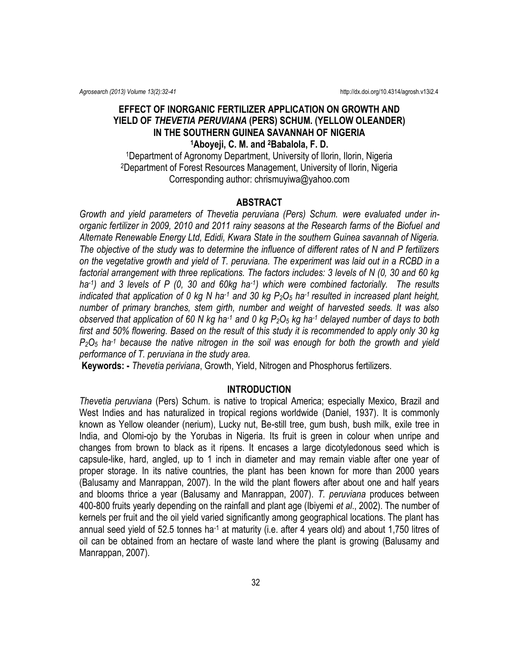# **EFFECT OF INORGANIC FERTILIZER APPLICATION ON GROWTH AND YIELD OF** *THEVETIA PERUVIANA* **(PERS) SCHUM. (YELLOW OLEANDER) IN THE SOUTHERN GUINEA SAVANNAH OF NIGERIA <sup>1</sup>Aboyeji, C. M. and 2Babalola, F. D.**

<sup>1</sup>Department of Agronomy Department, University of Ilorin, Ilorin, Nigeria <sup>2</sup>Department of Forest Resources Management, University of Ilorin, Nigeria Corresponding author: [chrismuyiwa@yahoo.com](mailto:chrismuyiwa@yahoo.com)

# **ABSTRACT**

*Growth and yield parameters of Thevetia peruviana (Pers) Schum. were evaluated under inorganic fertilizer in 2009, 2010 and 2011 rainy seasons at the Research farms of the Biofuel and Alternate Renewable Energy Ltd, Edidi, Kwara State in the southern Guinea savannah of Nigeria. The objective of the study was to determine the influence of different rates of N and P fertilizers on the vegetative growth and yield of T. peruviana. The experiment was laid out in a RCBD in a factorial arrangement with three replications. The factors includes: 3 levels of N (0, 30 and 60 kg ha-1 ) and 3 levels of P (0, 30 and 60kg ha-1 ) which were combined factorially. The results indicated that application of 0 kg N ha-1 and 30 kg P2O<sup>5</sup> ha-1 resulted in increased plant height, number of primary branches, stem girth, number and weight of harvested seeds. It was also observed that application of 60 N kg ha-1 and 0 kg P2O<sup>5</sup> kg ha-1 delayed number of days to both* first and 50% flowering. Based on the result of this study it is recommended to apply only 30 kg *P2O<sup>5</sup> ha-1 because the native nitrogen in the soil was enough for both the growth and yield performance of T. peruviana in the study area.* 

**Keywords: -** *Thevetia periviana*, Growth, Yield, Nitrogen and Phosphorus fertilizers.

### **INTRODUCTION**

*Thevetia peruviana* (Pers) Schum. is native to tropical America; especially Mexico, Brazil and West Indies and has naturalized in tropical regions worldwide (Daniel, 1937). It is commonly known as Yellow oleander (nerium), Lucky nut, Be-still tree, gum bush, bush milk, exile tree in India, and Olomi-ojo by the Yorubas in Nigeria. Its fruit is green in colour when unripe and changes from brown to black as it ripens. It encases a large dicotyledonous seed which is capsule-like, hard, angled, up to 1 inch in diameter and may remain viable after one year of proper storage. In its native countries, the plant has been known for more than 2000 years (Balusamy and Manrappan, 2007). In the wild the plant flowers after about one and half years and blooms thrice a year (Balusamy and Manrappan, 2007). *T. peruviana* produces between 400-800 fruits yearly depending on the rainfall and plant age (Ibiyemi *et al*., 2002). The number of kernels per fruit and the oil yield varied significantly among geographical locations. The plant has annual seed yield of 52.5 tonnes ha<sup>-1</sup> at maturity (i.e. after 4 years old) and about 1,750 litres of oil can be obtained from an hectare of waste land where the plant is growing (Balusamy and Manrappan, 2007).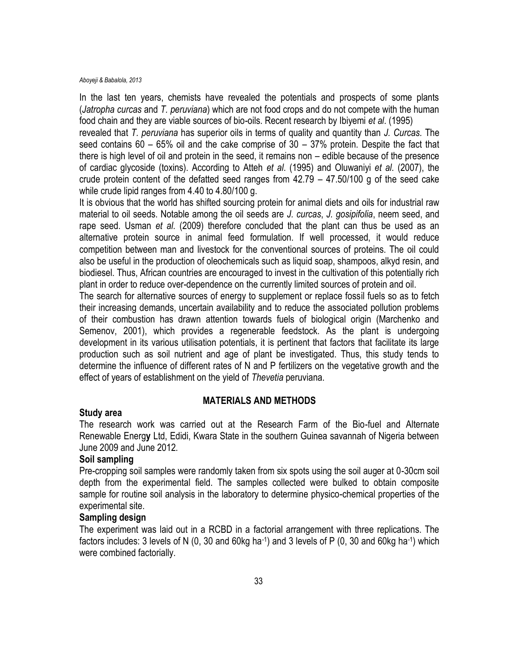In the last ten years, chemists have revealed the potentials and prospects of some plants (*Jatropha curcas* and *T. peruviana*) which are not food crops and do not compete with the human food chain and they are viable sources of bio-oils. Recent research by Ibiyemi *et al*. (1995)

revealed that *T. peruviana* has superior oils in terms of quality and quantity than *J. Curcas.* The seed contains 60 – 65% oil and the cake comprise of 30 – 37% protein. Despite the fact that there is high level of oil and protein in the seed, it remains non – edible because of the presence of cardiac glycoside (toxins). According to Atteh *et al*. (1995) and Oluwaniyi *et al*. (2007), the crude protein content of the defatted seed ranges from 42.79 – 47.50/100 g of the seed cake while crude lipid ranges from 4.40 to 4.80/100 g.

It is obvious that the world has shifted sourcing protein for animal diets and oils for industrial raw material to oil seeds. Notable among the oil seeds are *J. curcas*, *J. gosipifolia*, neem seed, and rape seed. Usman *et al*. (2009) therefore concluded that the plant can thus be used as an alternative protein source in animal feed formulation. If well processed, it would reduce competition between man and livestock for the conventional sources of proteins. The oil could also be useful in the production of oleochemicals such as liquid soap, shampoos, alkyd resin, and biodiesel. Thus, African countries are encouraged to invest in the cultivation of this potentially rich plant in order to reduce over-dependence on the currently limited sources of protein and oil.

The search for alternative sources of energy to supplement or replace fossil fuels so as to fetch their increasing demands, uncertain availability and to reduce the associated pollution problems of their combustion has drawn attention towards fuels of biological origin (Marchenko and Semenov, 2001), which provides a regenerable feedstock. As the plant is undergoing development in its various utilisation potentials, it is pertinent that factors that facilitate its large production such as soil nutrient and age of plant be investigated. Thus, this study tends to determine the influence of different rates of N and P fertilizers on the vegetative growth and the effect of years of establishment on the yield of *Thevetia* peruviana.

# **Study area**

## **MATERIALS AND METHODS**

The research work was carried out at the Research Farm of the Bio-fuel and Alternate Renewable Energ**y** Ltd, Edidi, Kwara State in the southern Guinea savannah of Nigeria between June 2009 and June 2012.

# **Soil sampling**

Pre-cropping soil samples were randomly taken from six spots using the soil auger at 0-30cm soil depth from the experimental field. The samples collected were bulked to obtain composite sample for routine soil analysis in the laboratory to determine physico-chemical properties of the experimental site.

# **Sampling design**

The experiment was laid out in a RCBD in a factorial arrangement with three replications. The factors includes: 3 levels of N (0, 30 and 60kg ha-1) and 3 levels of P (0, 30 and 60kg ha-1) which were combined factorially.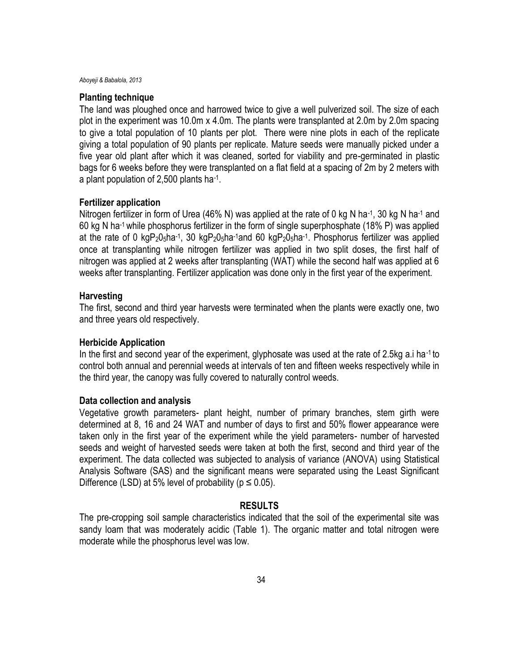## **Planting technique**

The land was ploughed once and harrowed twice to give a well pulverized soil. The size of each plot in the experiment was 10.0m x 4.0m. The plants were transplanted at 2.0m by 2.0m spacing to give a total population of 10 plants per plot. There were nine plots in each of the replicate giving a total population of 90 plants per replicate. Mature seeds were manually picked under a five year old plant after which it was cleaned, sorted for viability and pre-germinated in plastic bags for 6 weeks before they were transplanted on a flat field at a spacing of 2m by 2 meters with a plant population of 2,500 plants ha-1 .

### **Fertilizer application**

Nitrogen fertilizer in form of Urea (46% N) was applied at the rate of 0 kg N ha-1, 30 kg N ha-1 and 60 kg N ha-1 while phosphorus fertilizer in the form of single superphosphate (18% P) was applied at the rate of 0 kgP<sub>2</sub>0<sub>5</sub>ha-1, 30 kgP<sub>2</sub>0<sub>5</sub>ha-1and 60 kgP<sub>2</sub>0<sub>5</sub>ha-1. Phosphorus fertilizer was applied once at transplanting while nitrogen fertilizer was applied in two split doses, the first half of nitrogen was applied at 2 weeks after transplanting (WAT) while the second half was applied at 6 weeks after transplanting. Fertilizer application was done only in the first year of the experiment.

# **Harvesting**

The first, second and third year harvests were terminated when the plants were exactly one, two and three years old respectively.

#### **Herbicide Application**

In the first and second year of the experiment, glyphosate was used at the rate of 2.5kg a.i ha-1 to control both annual and perennial weeds at intervals of ten and fifteen weeks respectively while in the third year, the canopy was fully covered to naturally control weeds.

### **Data collection and analysis**

Vegetative growth parameters- plant height, number of primary branches, stem girth were determined at 8, 16 and 24 WAT and number of days to first and 50% flower appearance were taken only in the first year of the experiment while the yield parameters- number of harvested seeds and weight of harvested seeds were taken at both the first, second and third year of the experiment. The data collected was subjected to analysis of variance (ANOVA) using Statistical Analysis Software (SAS) and the significant means were separated using the Least Significant Difference (LSD) at 5% level of probability ( $p \le 0.05$ ).

### **RESULTS**

The pre-cropping soil sample characteristics indicated that the soil of the experimental site was sandy loam that was moderately acidic (Table 1). The organic matter and total nitrogen were moderate while the phosphorus level was low.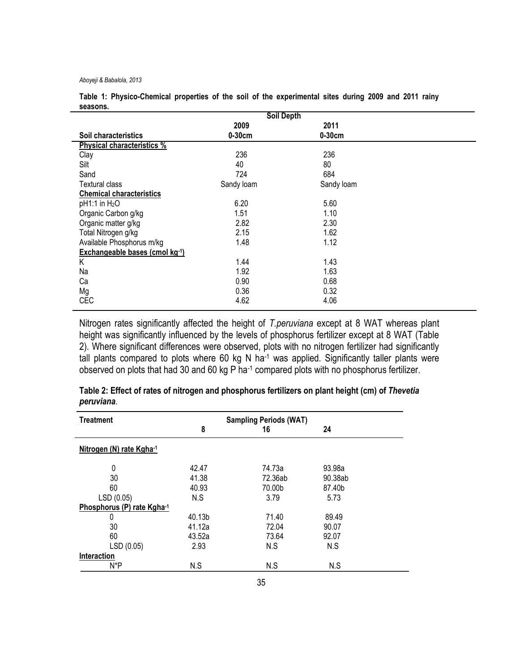|                                 |            | <b>Soil Depth</b> |  |
|---------------------------------|------------|-------------------|--|
|                                 | 2009       | 2011              |  |
| Soil characteristics            | $0-30$ cm  | $0-30cm$          |  |
| Physical characteristics %      |            |                   |  |
| Clay                            | 236        | 236               |  |
| Silt                            | 40         | 80                |  |
| Sand                            | 724        | 684               |  |
| Textural class                  | Sandy loam | Sandy loam        |  |
| <b>Chemical characteristics</b> |            |                   |  |
| $pH1:1$ in $H_2O$               | 6.20       | 5.60              |  |
| Organic Carbon g/kg             | 1.51       | 1.10              |  |
| Organic matter g/kg             | 2.82       | 2.30              |  |
| Total Nitrogen g/kg             | 2.15       | 1.62              |  |
| Available Phosphorus m/kg       | 1.48       | 1.12              |  |
| Exchangeable bases (cmol kg-1)  |            |                   |  |
| K                               | 1.44       | 1.43              |  |
| Na                              | 1.92       | 1.63              |  |
| Ca                              | 0.90       | 0.68              |  |
| Mg                              | 0.36       | 0.32              |  |
| CEC                             | 4.62       | 4.06              |  |

**Table 1: Physico-Chemical properties of the soil of the experimental sites during 2009 and 2011 rainy seasons.**

Nitrogen rates significantly affected the height of *T.peruviana* except at 8 WAT whereas plant height was significantly influenced by the levels of phosphorus fertilizer except at 8 WAT (Table 2). Where significant differences were observed, plots with no nitrogen fertilizer had significantly tall plants compared to plots where 60 kg N ha<sup>-1</sup> was applied. Significantly taller plants were observed on plots that had 30 and 60 kg P ha-1 compared plots with no phosphorus fertilizer.

| <b>Treatment</b>           | <b>Sampling Periods (WAT)</b> |         |         |  |
|----------------------------|-------------------------------|---------|---------|--|
|                            | 8                             | 16      | 24      |  |
| Nitrogen (N) rate Kgha-1   |                               |         |         |  |
| 0                          | 42.47                         | 74.73a  | 93.98a  |  |
| 30                         | 41.38                         | 72.36ab | 90.38ab |  |
| 60                         | 40.93                         | 70.00b  | 87.40b  |  |
| LSD (0.05)                 | N.S                           | 3.79    | 5.73    |  |
| Phosphorus (P) rate Kgha-1 |                               |         |         |  |
| 0                          | 40.13b                        | 71.40   | 89.49   |  |
| 30                         | 41.12a                        | 72.04   | 90.07   |  |
| 60                         | 43.52a                        | 73.64   | 92.07   |  |
| LSD (0.05)                 | 2.93                          | N.S     | N.S     |  |
| <b>Interaction</b>         |                               |         |         |  |
| N*P                        | N.S                           | N.S     | N.S     |  |

| Table 2: Effect of rates of nitrogen and phosphorus fertilizers on plant height (cm) of Thevetia |  |  |
|--------------------------------------------------------------------------------------------------|--|--|
| peruviana.                                                                                       |  |  |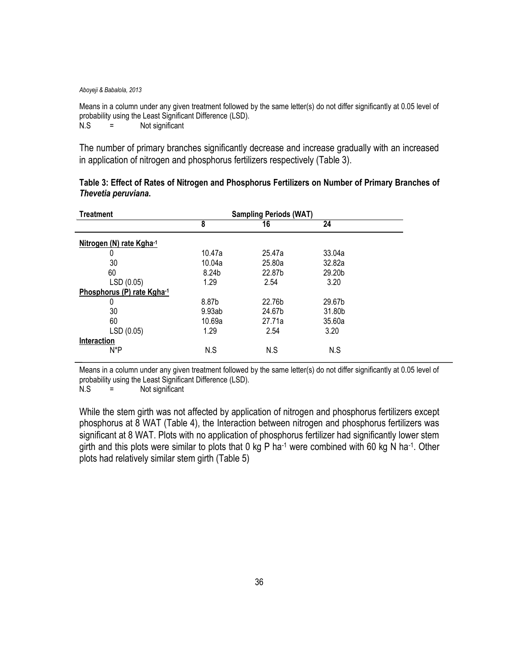Means in a column under any given treatment followed by the same letter(s) do not differ significantly at 0.05 level of probability using the Least Significant Difference (LSD). N.S = Not significant

The number of primary branches significantly decrease and increase gradually with an increased in application of nitrogen and phosphorus fertilizers respectively (Table 3).

|                     | Table 3: Effect of Rates of Nitrogen and Phosphorus Fertilizers on Number of Primary Branches of |  |  |
|---------------------|--------------------------------------------------------------------------------------------------|--|--|
| Thevetia peruviana. |                                                                                                  |  |  |

| <b>Treatment</b>           |        | <b>Sampling Periods (WAT)</b> |        |  |
|----------------------------|--------|-------------------------------|--------|--|
|                            | 8      | 16                            | 24     |  |
| Nitrogen (N) rate Kgha-1   |        |                               |        |  |
| 0                          | 10.47a | 25.47a                        | 33.04a |  |
| 30                         | 10.04a | 25.80a                        | 32.82a |  |
| 60                         | 8.24b  | 22.87b                        | 29.20b |  |
| LSD (0.05)                 | 1.29   | 2.54                          | 3.20   |  |
| Phosphorus (P) rate Kgha-1 |        |                               |        |  |
| 0                          | 8.87b  | 22.76b                        | 29.67b |  |
| 30                         | 9.93ab | 24.67b                        | 31.80b |  |
| 60                         | 10.69a | 27.71a                        | 35.60a |  |
| LSD (0.05)                 | 1.29   | 2.54                          | 3.20   |  |
| Interaction                |        |                               |        |  |
| N*P                        | N.S    | N.S                           | N.S    |  |

Means in a column under any given treatment followed by the same letter(s) do not differ significantly at 0.05 level of probability using the Least Significant Difference (LSD).

N.S = Not significant

While the stem girth was not affected by application of nitrogen and phosphorus fertilizers except phosphorus at 8 WAT (Table 4), the Interaction between nitrogen and phosphorus fertilizers was significant at 8 WAT. Plots with no application of phosphorus fertilizer had significantly lower stem girth and this plots were similar to plots that 0 kg P ha-1 were combined with 60 kg N ha-1. Other plots had relatively similar stem girth (Table 5)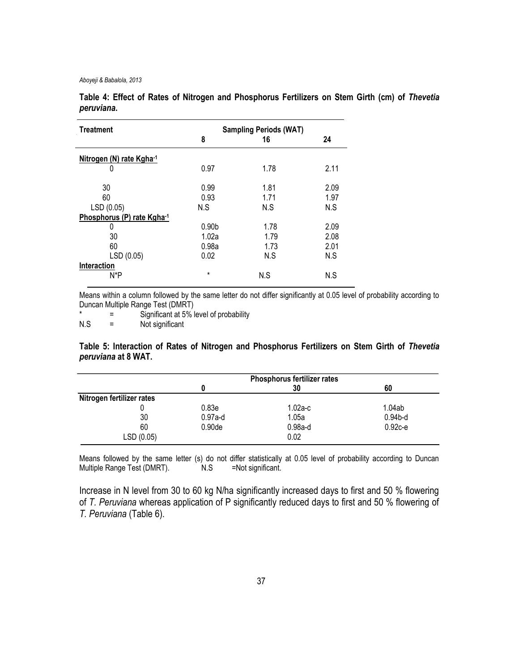| <b>Treatment</b>           |                   | <b>Sampling Periods (WAT)</b> |      |
|----------------------------|-------------------|-------------------------------|------|
|                            | 8                 | 16                            | 24   |
| Nitrogen (N) rate Kgha-1   |                   |                               |      |
| 0                          | 0.97              | 1.78                          | 2.11 |
| 30                         | 0.99              | 1.81                          | 2.09 |
| 60                         | 0.93              | 1.71                          | 1.97 |
| LSD (0.05)                 | N.S               | N.S                           | N.S  |
| Phosphorus (P) rate Kgha-1 |                   |                               |      |
| 0                          | 0.90 <sub>b</sub> | 1.78                          | 2.09 |
| 30                         | 1.02a             | 1.79                          | 2.08 |
| 60                         | 0.98a             | 1.73                          | 2.01 |
| LSD (0.05)                 | 0.02              | N.S                           | N.S  |
| <b>Interaction</b>         |                   |                               |      |
| N*P                        | $\star$           | N.S                           | N.S  |

**Table 4: Effect of Rates of Nitrogen and Phosphorus Fertilizers on Stem Girth (cm) of** *Thevetia peruviana***.**

Means within a column followed by the same letter do not differ significantly at 0.05 level of probability according to Duncan Multiple Range Test (DMRT)

 $=$  Significant at 5% level of probability

N.S = Not significant

## Table 5: Interaction of Rates of Nitrogen and Phosphorus Fertilizers on Stem Girth of Thevetia *peruviana* **at 8 WAT.**

|                           | Phosphorus fertilizer rates |           |             |
|---------------------------|-----------------------------|-----------|-------------|
|                           |                             | 30        | 60          |
| Nitrogen fertilizer rates |                             |           |             |
|                           | 0.83e                       | $1.02a-c$ | 1.04ab      |
| 30                        | $0.97a-d$                   | 1.05a     | $0.94b-d$   |
| 60                        | 0.90de                      | $0.98a-d$ | $0.92c - e$ |
| LSD (0.05)                |                             | 0.02      |             |

Means followed by the same letter (s) do not differ statistically at 0.05 level of probability according to Duncan Multiple Range Test (DMRT). N.S =Not significant.

Increase in N level from 30 to 60 kg N/ha significantly increased days to first and 50 % flowering of *T. Peruviana* whereas application of P significantly reduced days to first and 50 % flowering of *T. Peruviana* (Table 6).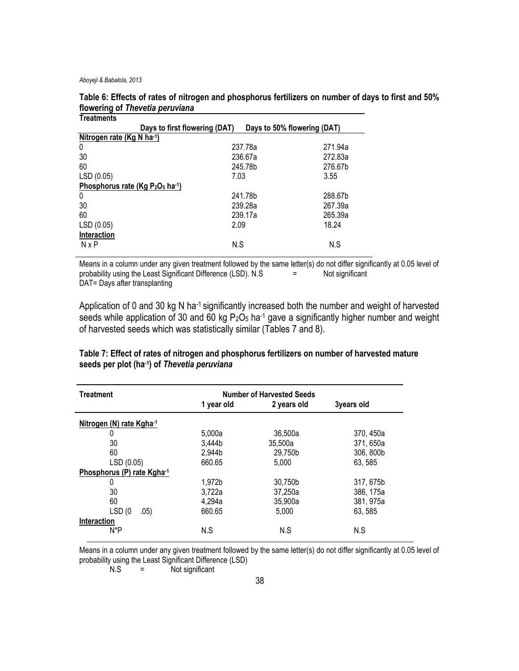| <b>Treatments</b>                                                    |                               |                             |         |
|----------------------------------------------------------------------|-------------------------------|-----------------------------|---------|
|                                                                      | Days to first flowering (DAT) | Days to 50% flowering (DAT) |         |
| Nitrogen rate (Kg N ha-1)                                            |                               |                             |         |
| 0                                                                    |                               | 237.78a                     | 271.94a |
| 30                                                                   |                               | 236.67a                     | 272.83a |
| 60                                                                   |                               | 245.78b                     | 276.67b |
| LSD (0.05)                                                           |                               | 7.03                        | 3.55    |
| Phosphorus rate (Kg P <sub>2</sub> O <sub>5</sub> ha <sup>-1</sup> ) |                               |                             |         |
| 0                                                                    |                               | 241.78b                     | 288.67b |
| 30                                                                   |                               | 239.28a                     | 267.39a |
| 60                                                                   |                               | 239.17a                     | 265.39a |
| LSD (0.05)                                                           |                               | 2.09                        | 18.24   |
| <b>Interaction</b>                                                   |                               |                             |         |
| N x P                                                                |                               | N.S                         | N.S     |

**Table 6: Effects of rates of nitrogen and phosphorus fertilizers on number of days to first and 50% flowering of** *Thevetia peruviana*

Means in a column under any given treatment followed by the same letter(s) do not differ significantly at 0.05 level of probability using the Least Significant Difference (LSD). N.S = Not significant DAT= Days after transplanting

Application of 0 and 30 kg N ha<sup>-1</sup> significantly increased both the number and weight of harvested seeds while application of 30 and 60 kg  $P_2O_5$  ha<sup>-1</sup> gave a significantly higher number and weight of harvested seeds which was statistically similar (Tables 7 and 8).

| 1 year old | 2 years old | 3years old                       |
|------------|-------------|----------------------------------|
|            |             |                                  |
| 5.000a     | 36,500a     | 370, 450a                        |
| 3,444b     | 35,500a     | 371, 650a                        |
| 2,944b     | 29,750b     | 306, 800b                        |
| 660.65     | 5.000       | 63, 585                          |
|            |             |                                  |
| 1,972b     | 30,750b     | 317, 675b                        |
| 3.722a     | 37.250a     | 386, 175a                        |
| 4,294a     | 35,900a     | 381, 975a                        |
| 660.65     | 5,000       | 63.585                           |
|            |             |                                  |
| N.S        | N.S         | N.S                              |
|            |             | <b>Number of Harvested Seeds</b> |

# **Table 7: Effect of rates of nitrogen and phosphorus fertilizers on number of harvested mature seeds per plot (ha-1 ) of** *Thevetia peruviana*

Means in a column under any given treatment followed by the same letter(s) do not differ significantly at 0.05 level of probability using the Least Significant Difference (LSD)

N.S = Not significant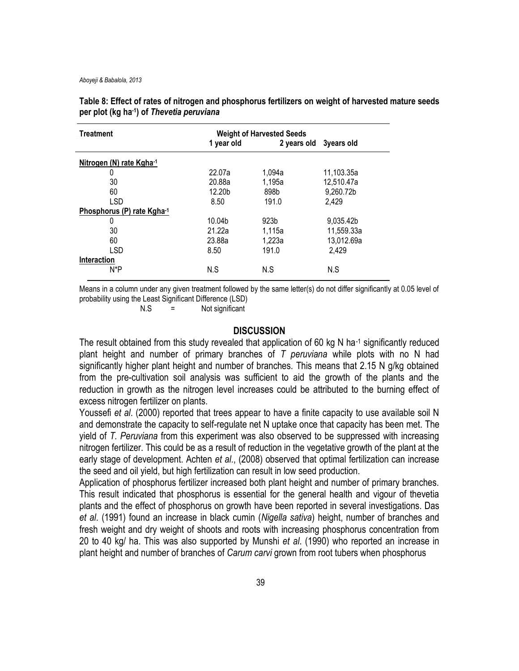| <b>Treatment</b>           |            |             |            |
|----------------------------|------------|-------------|------------|
|                            | 1 year old | 2 years old | 3years old |
| Nitrogen (N) rate Kgha-1   |            |             |            |
| 0                          | 22.07a     | 1.094a      | 11.103.35a |
| 30                         | 20.88a     | 1,195a      | 12,510.47a |
| 60                         | 12.20b     | 898b        | 9,260.72b  |
| <b>LSD</b>                 | 8.50       | 191.0       | 2,429      |
| Phosphorus (P) rate Kgha-1 |            |             |            |
| 0                          | 10.04b     | 923b        | 9,035.42b  |
| 30                         | 21.22a     | 1.115a      | 11,559.33a |
| 60                         | 23.88a     | 1,223a      | 13,012.69a |
| LSD.                       | 8.50       | 191.0       | 2,429      |
| <b>Interaction</b>         |            |             |            |
| N*P                        | N.S        | N.S         | N.S        |

**Table 8: Effect of rates of nitrogen and phosphorus fertilizers on weight of harvested mature seeds per plot (kg ha-1 ) of** *Thevetia peruviana*

Means in a column under any given treatment followed by the same letter(s) do not differ significantly at 0.05 level of probability using the Least Significant Difference (LSD)

N.S = Not significant

# **DISCUSSION**

The result obtained from this study revealed that application of 60 kg N ha<sup>-1</sup> significantly reduced plant height and number of primary branches of *T peruviana* while plots with no N had significantly higher plant height and number of branches. This means that 2.15 N g/kg obtained from the pre-cultivation soil analysis was sufficient to aid the growth of the plants and the reduction in growth as the nitrogen level increases could be attributed to the burning effect of excess nitrogen fertilizer on plants.

Youssefi *et al*. (2000) reported that trees appear to have a finite capacity to use available soil N and demonstrate the capacity to self-regulate net N uptake once that capacity has been met. The yield of *T. Peruviana* from this experiment was also observed to be suppressed with increasing nitrogen fertilizer. This could be as a result of reduction in the vegetative growth of the plant at the early stage of development. Achten *et al*[., \(2008\)](http://scialert.net/fulltext/?doi=ajps.2011.52.59&org=11#529965_ja) observed that optimal fertilization can increase the seed and oil yield, but high fertilization can result in low seed production.

Application of phosphorus fertilizer increased both plant height and number of primary branches. This result indicated that phosphorus is essential for the general health and vigour of thevetia plants and the effect of phosphorus on growth have been reported in several investigations. Das *et al*. (1991) found an increase in black cumin (*Nigella sativa*) height, number of branches and fresh weight and dry weight of shoots and roots with increasing phosphorus concentration from 20 to 40 kg/ ha. This was also supported by Munshi *et al*. (1990) who reported an increase in plant height and number of branches of *Carum carvi* grown from root tubers when phosphorus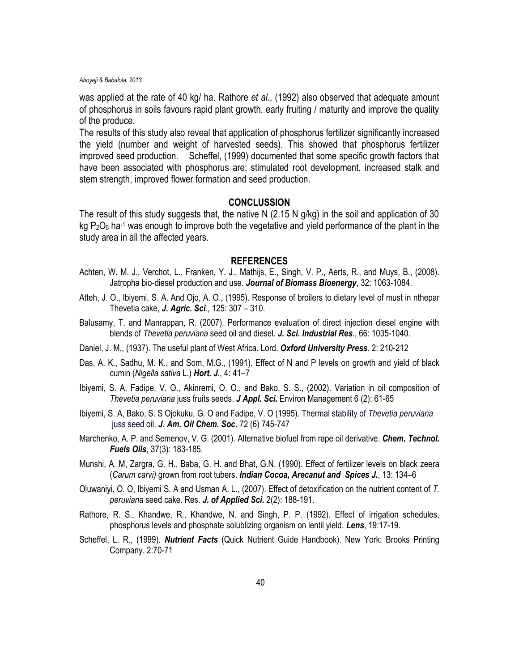was applied at the rate of 40 kg/ ha. Rathore *et al*., (1992) also observed that adequate amount of phosphorus in soils favours rapid plant growth, early fruiting / maturity and improve the quality of the produce.

The results of this study also reveal that application of phosphorus fertilizer significantly increased the yield (number and weight of harvested seeds). This showed that phosphorus fertilizer improved seed production. Scheffel, (1999) documented that some specific growth factors that have been associated with phosphorus are: stimulated root development, increased stalk and stem strength, improved flower formation and seed production.

# **CONCLUSSION**

The result of this study suggests that, the native N (2.15 N g/kg) in the soil and application of 30 kg  $P_2O_5$  ha<sup>-1</sup> was enough to improve both the vegetative and yield performance of the plant in the study area in all the affected years.

# **REFERENCES**

- Achten, W. M. J., Verchot, L., Franken, Y. J., Mathijs, E., Singh, V. P., Aerts, R., and Muys, B., (2008). Jatropha bio-diesel production and use. *Journal of Biomass Bioenergy*, 32: 1063-1084.
- Atteh, J. O., Ibiyemi, S. A. And Ojo, A. O., (1995). Response of broilers to dietary level of must in nthepar Thevetia cake, *J. Agric. Sci.*, 125: 307 – 310.
- Balusamy, T. and Manrappan, R. (2007). Performance evaluation of direct injection diesel engine with blends of *Thevetia peruviana* seed oil and diesel. *J. Sci. Industrial Res.*, 66: 1035-1040.
- Daniel, J. M., (1937). The useful plant of West Africa. Lord. *Oxford University Press*. 2: 210-212
- Das, A. K., Sadhu, M. K., and Som, M.G., (1991). Effect of N and P levels on growth and yield of black cumin (*Nigella sativa* L.) *Hort. J.*, 4: 41–7
- Ibiyemi, S. A, Fadipe, V. O., Akinremi, O. O., and Bako, S. S., (2002). Variation in oil composition of *Thevetia peruviana* juss fruits seeds. *J Appl. Sci.* Environ Management 6 (2): 61-65
- Ibiyemi, S. A, Bako, S. S Ojokuku, G. O and Fadipe, V. O (1995). Thermal stability of *Thevetia peruviana* juss seed oil. *J. Am. Oil Chem. Soc*. 72 (6) 745-747
- Marchenko, A. P. and Semenov, V. G. (2001). Alternative biofuel from rape oil derivative. *Chem. Technol. Fuels Oils*, 37(3): 183-185.
- Munshi, A. M, Zargra, G. H., Baba, G. H. and Bhat, G.N. (1990). Effect of fertilizer levels on black zeera (*Carum carvi)* grown from root tubers. *Indian Cocoa, Arecanut and Spices J.*, 13: 134–6
- Oluwaniyi, O. O, Ibiyemi S. A and Usman A. L., (2007). Effect of detoxification on the nutrient content of *T. peruviana* seed cake. Res. *J. of Applied Sci.* 2(2): 188-191.
- Rathore, R. S., Khandwe, R., Khandwe, N. and Singh, P. P. (1992). Effect of irrigation schedules, phosphorus levels and phosphate solublizing organism on lentil yield. *Lens*, 19:17-19.
- Scheffel, L. R., (1999). *Nutrient Facts* (Quick Nutrient Guide Handbook). New York: Brooks Printing Company. 2:70-71